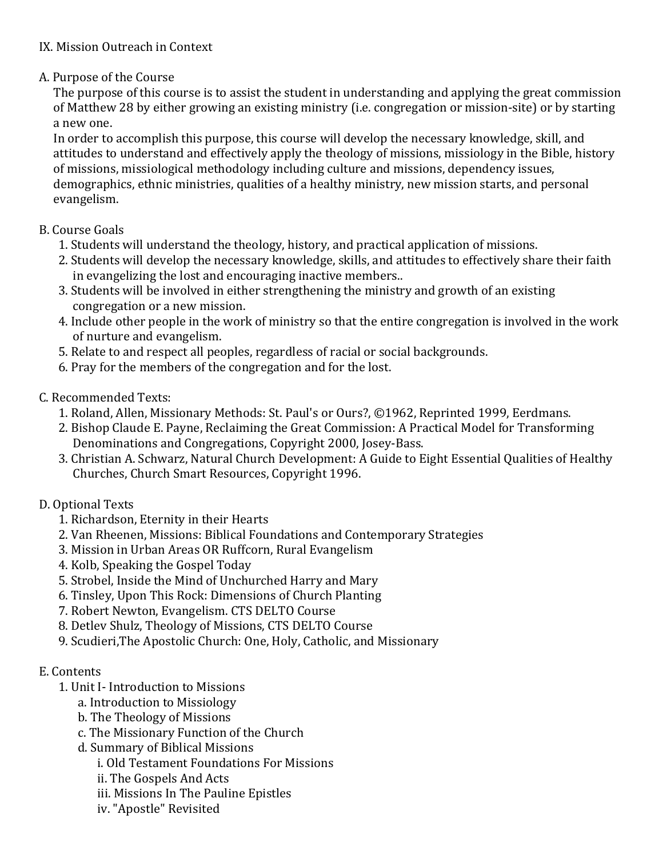## IX. Mission Outreach in Context

# A. Purpose of the Course

The purpose of this course is to assist the student in understanding and applying the great commission of Matthew 28 by either growing an existing ministry (i.e. congregation or mission-site) or by starting a new one.

In order to accomplish this purpose, this course will develop the necessary knowledge, skill, and attitudes to understand and effectively apply the theology of missions, missiology in the Bible, history of missions, missiological methodology including culture and missions, dependency issues, demographics, ethnic ministries, qualities of a healthy ministry, new mission starts, and personal evangelism.

## B. Course Goals

- 1. Students will understand the theology, history, and practical application of missions.
- 2. Students will develop the necessary knowledge, skills, and attitudes to effectively share their faith in evangelizing the lost and encouraging inactive members..
- 3. Students will be involved in either strengthening the ministry and growth of an existing congregation or a new mission.
- 4. Include other people in the work of ministry so that the entire congregation is involved in the work of nurture and evangelism.
- 5. Relate to and respect all peoples, regardless of racial or social backgrounds.
- 6. Pray for the members of the congregation and for the lost.

## C. Recommended Texts:

- 1. Roland, Allen, Missionary Methods: St. Paul's or Ours?, ©1962, Reprinted 1999, Eerdmans.
- 2. Bishop Claude E. Payne, Reclaiming the Great Commission: A Practical Model for Transforming Denominations and Congregations, Copyright 2000, Josey-Bass.
- 3. Christian A. Schwarz, Natural Church Development: A Guide to Eight Essential Qualities of Healthy Churches, Church Smart Resources, Copyright 1996.
- D. Optional Texts
	- 1. Richardson, Eternity in their Hearts
	- 2. Van Rheenen, Missions: Biblical Foundations and Contemporary Strategies
	- 3. Mission in Urban Areas OR Ruffcorn, Rural Evangelism
	- 4. Kolb, Speaking the Gospel Today
	- 5. Strobel, Inside the Mind of Unchurched Harry and Mary
	- 6. Tinsley, Upon This Rock: Dimensions of Church Planting
	- 7. Robert Newton, Evangelism. CTS DELTO Course
	- 8. Detlev Shulz, Theology of Missions, CTS DELTO Course
	- 9. Scudieri, The Apostolic Church: One, Holy, Catholic, and Missionary

#### E. Contents

- 1. Unit I- Introduction to Missions
	- a. Introduction to Missiology
	- b. The Theology of Missions
	- c. The Missionary Function of the Church
	- d. Summary of Biblical Missions
		- i. Old Testament Foundations For Missions
		- ii. The Gospels And Acts
		- iii. Missions In The Pauline Epistles
		- iv. "Apostle" Revisited